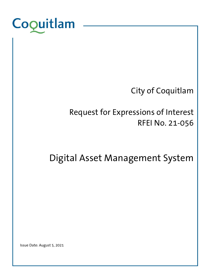

# City of Coquitlam

# Request for Expressions of Interest RFEI No. 21-056

Digital Asset Management System

Issue Date: August 5, 2021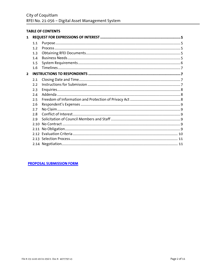### **TABLE OF CONTENTS**

| 1              |     |  |
|----------------|-----|--|
|                | 1.1 |  |
|                | 1.2 |  |
|                | 1.3 |  |
|                | 1.4 |  |
|                | 1.5 |  |
|                | 1.6 |  |
| $\overline{2}$ |     |  |
|                | 2.1 |  |
|                | 2.2 |  |
|                | 2.3 |  |
|                | 2.4 |  |
|                | 2.5 |  |
|                | 2.6 |  |
|                | 2.7 |  |
|                | 2.8 |  |
|                | 2.9 |  |
|                | 210 |  |
|                |     |  |
|                |     |  |
|                |     |  |
|                |     |  |

**PROPOSAL SUBMISSION FORM**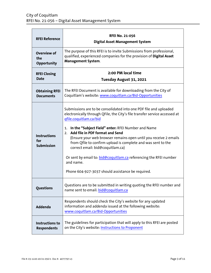| <b>RFEI Reference</b>                                                                                                                                                   | <b>RFEI No. 21-056</b><br><b>Digital Asset Management System</b>                                                                                                                                                                                                                                                                                                                                                                                                                                                                                                                           |  |
|-------------------------------------------------------------------------------------------------------------------------------------------------------------------------|--------------------------------------------------------------------------------------------------------------------------------------------------------------------------------------------------------------------------------------------------------------------------------------------------------------------------------------------------------------------------------------------------------------------------------------------------------------------------------------------------------------------------------------------------------------------------------------------|--|
| <b>Overview of</b><br>the<br><b>Opportunity</b>                                                                                                                         | The purpose of this RFEI is to invite Submissions from professional,<br>qualified, experienced companies for the provision of Digital Asset<br><b>Management System.</b>                                                                                                                                                                                                                                                                                                                                                                                                                   |  |
| <b>RFEI Closing</b><br><b>Date</b>                                                                                                                                      | 2:00 PM local time<br>Tuesday August 31, 2021                                                                                                                                                                                                                                                                                                                                                                                                                                                                                                                                              |  |
| The RFEI Document is available for downloading from the City of<br><b>Obtaining RFEI</b><br>Coquitlam's website: www.coquitlam.ca/Bid-Opportunities<br><b>Documents</b> |                                                                                                                                                                                                                                                                                                                                                                                                                                                                                                                                                                                            |  |
| <b>Instructions</b><br>for<br><b>Submission</b>                                                                                                                         | Submissions are to be consolidated into one PDF file and uploaded<br>electronically through QFile, the City's file transfer service accessed at<br>qfile.coquitlam.ca/bid<br>In the "Subject Field" enter: RFEI Number and Name<br>1.<br>2. Add file in PDF format and Send<br>(Ensure your web browser remains open until you receive 2 emails<br>from Qfile to confirm upload is complete and was sent to the<br>correct email: bid@coquitlam.ca)<br>Or sent by email to: bid@coquitlam.ca referencing the RFEI number<br>and name.<br>Phone 604-927-3037 should assistance be required. |  |
| <b>Questions</b>                                                                                                                                                        | Questions are to be submitted in writing quoting the RFEI number and<br>name sent to email: bid@coquitlam.ca                                                                                                                                                                                                                                                                                                                                                                                                                                                                               |  |
| <b>Addenda</b>                                                                                                                                                          | Respondents should check the City's website for any updated<br>information and addenda issued at the following website:<br>www.coquitlam.ca/Bid-Opportunities                                                                                                                                                                                                                                                                                                                                                                                                                              |  |
| <b>Instructions to</b><br><b>Respondents</b>                                                                                                                            | The guidelines for participation that will apply to this RFEI are posted<br>on the City's website: Instructions to Proponent                                                                                                                                                                                                                                                                                                                                                                                                                                                               |  |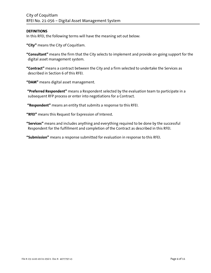### **DEFINITIONS**

In this RFEI, the following terms will have the meaning set out below:

**"City"** means the City of Coquitlam.

**"Consultant"** means the firm that the City selects to implement and provide on-going support for the digital asset management system.

**"Contract"** means a contract between the City and a firm selected to undertake the Services as described in Section 6 of this RFEI.

**"DAM"** means digital asset management.

**"Preferred Respondent"** means a Respondent selected by the evaluation team to participate in a subsequent RFP process or enter into negotiations for a Contract.

**"Respondent"** means an entity that submits a response to this RFEI.

**"RFEI"** means this Request for Expression of Interest.

**"Services"** means and includes anything and everything required to be done by the successful Respondent for the fulfillment and completion of the Contract as described in this RFEI.

**"Submission"** means a response submitted for evaluation in response to this RFEI.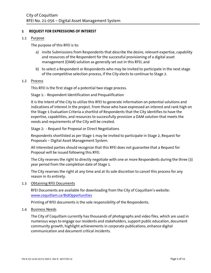### <span id="page-4-0"></span>**1 REQUEST FOR EXPRESSIONS OF INTEREST**

### <span id="page-4-1"></span>1.1 Purpose

The purpose of this RFEI is to:

- a) invite Submissions from Respondents that describe the desire, relevant expertise, capability and resources of the Respondent for the successful provisioning of a digital asset management (DAM) solution as generally set out in this RFEI; and
- b) to select a Respondent or Respondents who may be invited to participate in the next stage of the competitive selection process, if the City elects to continue to Stage 2.

#### <span id="page-4-2"></span>1.2 Process

This RFEI is the first stage of a potential two stage process.

Stage 1: - Respondent Identification and Prequalification

It is the intent of the City to utilize this RFEI to generate information on potential solutions and indications of interest in the project. From those who have expressed an interest and rank high on the Stage 1 Evaluation Criteria a shortlist of Respondents that the City identifies to have the expertise, capabilities, and resources to successfully provision a DAM solution that meets the needs and requirements of the City will be created.

Stage 2: - Request for Proposal or Direct Negotiations

Respondents shortlisted as per Stage 1 may be invited to participate in Stage 2, Request for Proposals – Digital Asset Management System.

All interested parties should recognize that this RFEI does not guarantee that a Request for Proposal will be issued following this RFEI.

The City reserves the right to directly negotiate with one or more Respondents during the three (3) year period from the completion date of Stage 1.

The City reserves the right at any time and at its sole discretion to cancel this process for any reason in its entirety.

### <span id="page-4-3"></span>1.3 Obtaining RFEI Documents

RFEI Documents are available for downloading from the City of Coquitlam's website: [www.coquitlam.ca/BidOpportunities](http://www.coquitlam.ca/BidOpportunities)

Printing of RFEI documents is the sole responsibility of the Respondents.

### <span id="page-4-4"></span>1.4 Business Needs

The City of Coquitlam currently has thousands of photographs and video files, which are used in numerous ways to engage our residents and stakeholders, support public education, document community growth, highlight achievements in corporate publications, enhance digital communication and document critical incidents.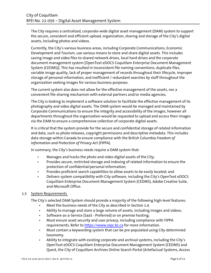The City requires a centralized, corporate-wide digital asset management (DAM) system to support the secure, consistent and efficient upload, organization, sharing and storage of the City's digital assets, including photos and videos.

Currently, the City's various business areas, including Corporate Communications, Economic Development and Tourism, use various means to store and share digital assets. This includes saving image and video files to shared network drives, local hard drives and the corporate document management system [OpenText eDOCS Coquitlam Enterprise Document Management System (CEDMS)]. This has resulted in inconsistent file naming conventions, duplicate files, variable image quality, lack of proper management of records throughout their lifecycle, improper storage of personal information, and inefficient / redundant searches by staff throughout the organization seeking images for various business purposes.

The current system also does not allow for the effective management of the assets, nor a convenient file-sharing mechanism with external partners and/or media agencies.

The City is looking to implement a software solution to facilitate the effective management of its photography and video digital assets. The DAM system would be managed and maintained by Corporate Communications to ensure the integrity and accessibility of the images, however all departments throughout the organization would be requested to upload and access their images via the DAM to ensure a comprehensive collection of corporate digital assets.

It is critical that the system provide for the secure and confidential storage of related information and data, such as photo releases, copyright permissions and descriptive metadata. This includes data storage within Canada to ensure compliance with the British Columbia *Freedom of Information and Protection of Privacy Act* (FIPPA).

In summary, the City's business needs require a DAM system that:

- Manages and tracks the photo and video digital assets of the City;
- Provides secure, restricted storage and indexing of related information to ensure the protection of confidential/personal information;
- Provides proficient search capabilities to allow assets to be easily located; and
- Delivers system compatibility with City software, including the City's OpenText eDOCS Coquitlam Enterprise Document Management System (CEDMS), Adobe Creative Suite, and Microsoft Office.

# <span id="page-5-0"></span>1.5 System Requirements

The City's selected DAM System should provide a majority of the following high-level features:

- Meet the business needs of the City as described in Section 1.4
- Ability to manage and store a large volume of assets, including images and videos;
- Software-as-a-Service (SaaS Preferred) or on premise hosting;
- Must ensure asset security and user privacy, including compliance with FIPPA requirements. Refer to [https://www.oipc.bc.ca](https://www.oipc.bc.ca/) for more information.
- Must contain a keywording system that can be pre-populated using City-determined taxonomy.
- Ability to integrate with existing corporate and archival systems, including the City's OpenText eDOCS Coquitlam Enterprise Document Management System (CEDMS) and Quest, the City of Coquitlam Archives Online Search Portal (Artefactual Systems, Access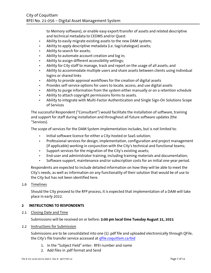to Memory software), or enable easy export/transfer of assets and related descriptive and technical metadata to CEDMS and/or Quest

- Ability to easily migrate existing assets to the new DAM system;
- Ability to apply descriptive metadata (i.e. tag/catalogue) assets;
- Ability to search for assets;
- Ability to automate account creation and log in;
- Ability to assign different accessibility settings;
- Ability for City staff to manage, track and report on the usage of all assets; and
- Ability to accommodate multiple users and share assets between clients using individual logins or shared links
- Ability to provide approval workflows for the creation of digital assets
- Provides self-service options for users to locate, access, and use digital assets
- Ability to purge information from the system either manually or on a retention schedule
- Ability to attach copyright permissions forms to assets.
- Ability to integrate with Multi-Factor Authentication and Single Sign-On Solutions Scope of Services

The successful Respondent ("Consultant") would facilitate the installation of software, training and support for staff during installation and throughout all future software updates (the "Services).

The scope of services for the DAM System implementation includes, but is not limited to:

- Initial software licence for either a City-hosted or SaaS solution;
- Professional services for design, implementation, configuration and project management (if applicable) working in conjunction with the City's technical and functional teams;
- Support services for the migration of the City's existing assets;
- End-user and administrator training, including training materials and documentation;
- Software support, maintenance and/or subscription costs for an initial one-year period.

Respondents are expected to include detailed information on how they will be able to meet the City's needs, as well as information on any functionality of their solution that would be of use to the City but has not been identified here.

# <span id="page-6-0"></span>1.6 Timelines

Should the City proceed to the RFP process, it is expected that implementation of a DAM will take place in early 2022.

# <span id="page-6-1"></span>**2 INSTRUCTIONS TO RESPONDENTS**

<span id="page-6-2"></span>2.1 Closing Date and Time

Submissions will be received on or before: **2:00 pm local time Tuesday August 31, 2021**

### <span id="page-6-3"></span>2.2 Instructions for Submission

Submissions are to be consolidated into one (1) .pdf file and uploaded electronically through QFile, the City's file transfer service accessed at gfile.coquitlam.ca/bid

- 1. In the "Subject Field" enter: RFEI number and name
- 2. Add files in .pdf format and Send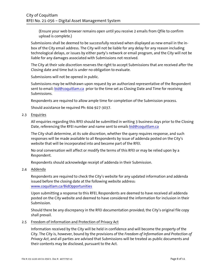(Ensure your web browser remains open until you receive 2 emails from Qfile to confirm upload is complete.)

Submissions shall be deemed to be successfully received when displayed as new email in the inbox of the City email address. The City will not be liable for any delay for any reason including technological delays, or issues by either party's network or email program, and the City will not be liable for any damages associated with Submissions not received.

The City at their sole discretion reserves the right to accept Submissions that are received after the Closing date and time but is under no obligation to evaluate.

Submissions will not be opened in public.

Submissions may be withdrawn upon request by an authorized representative of the Respondent sent to email[: bid@coquitlam.ca](mailto:bid@coquitlam.ca) prior to the time set as Closing Date and Time for receiving Submissions.

Respondents are required to allow ample time for completion of the Submission process.

Should assistance be required Ph: 604-927-3037.

<span id="page-7-0"></span>2.3 Enquiries

All enquiries regarding this RFEI should be submitted in writing 3 business days prior to the Closing Date, referencing the RFEI number and name sent to email**:** [bid@coquitlam.ca](mailto:citypurchasing@coquitlam.ca)

The City shall determine, at its sole discretion, whether the query requires response, and such responses will be made available to all Respondents by issue of addenda posted on the City's website that will be incorporated into and become part of the RFEI.

No oral conversation will affect or modify the terms of this RFEI or may be relied upon by a Respondent.

Respondents should acknowledge receipt of addenda in their Submission.

# <span id="page-7-1"></span>2.4 Addenda

Respondents are required to check the City's website for any updated information and addenda issued before the closing date at the following website address: [www.coquitlam.ca/BidOpportunities](http://www.coquitlam.ca/BidOpportunities)

Upon submitting a response to this RFEI, Respondents are deemed to have received all addenda posted on the City website and deemed to have considered the information for inclusion in their Submission.

Should there be any discrepancy in the RFEI documentation provided; the City's original file copy shall prevail.

# <span id="page-7-2"></span>2.5 Freedom of Information and Protection of Privacy Act

Information received by the City will be held in confidence and will become the property of the City. The City is, however, bound by the provisions of the *Freedom of Information and Protection of Privacy Act*, and all parties are advised that Submissions will be treated as public documents and their contents may be disclosed, pursuant to the Act.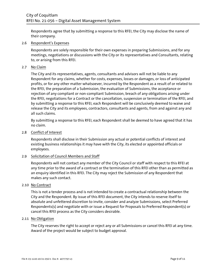Respondents agree that by submitting a response to this RFEI, the City may disclose the name of their company.

### <span id="page-8-0"></span>2.6 Respondent's Expenses

Respondents are solely responsible for their own expenses in preparing Submissions, and for any meetings, negotiations or discussions with the City or its representatives and Consultants, relating to, or arising from this RFEI.

### <span id="page-8-1"></span>2.7 No Claim

The City and its representatives, agents, consultants and advisors will not be liable to any Respondent for any claims, whether for costs, expenses, losses or damages, or loss of anticipated profits, or for any other matter whatsoever, incurred by the Respondent as a result of or related to the RFEI, the preparation of a Submission, the evaluation of Submissions, the acceptance or rejection of any compliant or non-compliant Submission, breach of any obligations arising under the RFEI, negotiations for a Contract or the cancellation, suspension or termination of the RFEI, and by submitting a response to this RFEI, each Respondent will be conclusively deemed to waive and release the City and its employees, contractors, consultants and agents, from and against any and all such claims.

By submitting a response to this RFEI, each Respondent shall be deemed to have agreed that it has no claim.

### <span id="page-8-2"></span>2.8 Conflict of Interest

Respondents shall disclose in their Submission any actual or potential conflicts of interest and existing business relationships it may have with the City, its elected or appointed officials or employees.

# <span id="page-8-3"></span>2.9 Solicitation of Council Members and Staff

Respondents will not contact any member of the City Council or staff with respect to this RFEI at any time prior to the award of a contract or the termination of this RFEI other than as permitted as an enquiry identified in this RFEI. The City may reject the Submission of any Respondent that makes any such contact.

### <span id="page-8-4"></span>2.10 No Contract

This is not a tender process and is not intended to create a contractual relationship between the City and the Respondent. By issue of this RFEI document, the City intends to reserve itself to absolute and unfettered discretion to invite, consider and analyze Submissions, select Preferred Respondents(s) and negotiate with or issue a Request for Proposals to Preferred Respondent(s) or cancel this RFEI process as the City considers desirable.

# <span id="page-8-5"></span>2.11 No Obligation

The City reserves the right to accept or reject any or all Submissions or cancel this RFEI at any time. Award of the project would be subject to budget approval.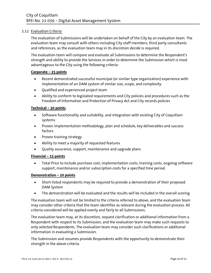# <span id="page-9-0"></span>2.12 Evaluation Criteria

The evaluation of Submissions will be undertaken on behalf of the City by an evaluation team. The evaluation team may consult with others including City staff members, third party consultants and references, as the evaluation team may in its discretion decide is required.

The evaluation team will compare and evaluate all Submissions to determine the Respondent's strength and ability to provide the Services in order to determine the Submission which is most advantageous to the City using the following criteria:

# **Corporate – 25 points**

- Recent demonstrated successful municipal (or similar type organization) experience with implementation of an DAM system of similar size, scope, and complexity.
- Qualified and experienced project team
- Ability to conform to legislated requirements and City policies and procedures such as the Freedom of Information and Protection of Privacy Act and City records policies

# **Technical – 30 points**

- Software functionality and suitability, and integration with existing City of Coquitlam systems
- Proven implementation methodology, plan and schedule, key deliverables and success factors
- Proven training strategy
- Ability to meet a majority of requested features
- Quality assurance, support, maintenance and upgrade plans

# **Financial – 15 points**

• Total Price to include purchase cost, implementation costs, training costs, ongoing software support, maintenance and/or subscription costs for a specified time period.

# **Demonstration – 20 points**

- Short-listed respondents may be required to provide a demonstration of their proposed DAM System
- The demonstration will be evaluated and the results will be included in the overall scoring

The evaluation team will not be limited to the criteria referred to above, and the evaluation team may consider other criteria that the team identifies as relevant during the evaluation process. All criteria considered will be applied evenly and fairly to all Submissions.

The evaluation team may, at its discretion, request clarification or additional information from a Respondent with respect to its Submission, and the evaluation team may make such requests to only selected Respondents. The evaluation team may consider such clarifications or additional information in evaluating a Submission.

The Submission and resumes provide Respondents with the opportunity to demonstrate their strength in the above criteria.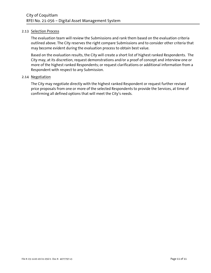### <span id="page-10-0"></span>2.13 Selection Process

The evaluation team will review the Submissions and rank them based on the evaluation criteria outlined above. The City reserves the right compare Submissions and to consider other criteria that may become evident during the evaluation process to obtain best value.

Based on the evaluation results, the City will create a short list of highest ranked Respondents. The City may, at its discretion, request demonstrations and/or a proof of concept and interview one or more of the highest ranked Respondents; or request clarifications or additional information from a Respondent with respect to any Submission.

### <span id="page-10-1"></span>2.14 Negotiation

The City may negotiate directly with the highest ranked Respondent or request further revised price proposals from one or more of the selected Respondents to provide the Services, at time of confirming all defined options that will meet the City's needs.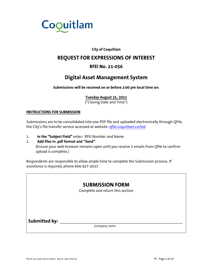

# **City of Coquitlam**

# **REQUEST FOR EXPRESSIONS OF INTEREST**

# **RFEI No. 21-056**

# **Digital Asset Management System**

<span id="page-11-0"></span>**Submissions will be received on or before 2:00 pm local time on:**

# **Tuesday August 31, 2021**

("Closing Date and Time")

### **INSTRUCTIONS FOR SUBMISSION**

Submissions are to be consolidated into one PDF file and uploaded electronically through QFile, the City's file transfer service accessed at website: [qfile.coquitlam.ca/bid](http://qfile.coquitlam.ca/bid)

1. **In the "Subject Field"** enter: RFEI Number and Name

# 2. **Add files in .pdf format and "Send"** (Ensure your web browser remains open until you receive 2 emails from Qfile to confirm upload is complete.)

Respondents are responsible to allow ample time to complete the Submission process. If assistance is required, phone 604-927-3037.

|               | <b>SUBMISSION FORM</b><br>Complete and return this section |  |
|---------------|------------------------------------------------------------|--|
| Submitted by: | (company name                                              |  |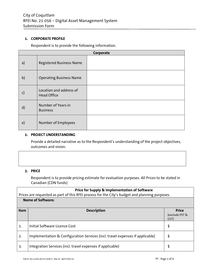# **1. CORPORATE PROFILE**

Respondent is to provide the following information.

| Corporate     |                                               |  |  |
|---------------|-----------------------------------------------|--|--|
| a)            | <b>Registered Business Name</b>               |  |  |
| b)            | <b>Operating Business Name</b>                |  |  |
| $\mathsf{c})$ | Location and address of<br><b>Head Office</b> |  |  |
| $\mathsf{d}$  | Number of Years in<br><b>Business</b>         |  |  |
| $\epsilon$ )  | Number of Employees                           |  |  |

### **2. PROJECT UNDERSTANDING**

Provide a detailed narrative as to the Respondent's understanding of the project objectives, outcomes and vision:

### **3. PRICE**

Respondent is to provide pricing estimate for evaluation purposes. All Prices to be stated in Canadian (CDN funds)

|              | <b>Price for Supply &amp; Implementation of Software</b>                                                                   |                                |  |  |
|--------------|----------------------------------------------------------------------------------------------------------------------------|--------------------------------|--|--|
|              | Prices are requested as part of this RFEI process for the City's budget and planning purposes.<br><b>Name of Software:</b> |                                |  |  |
| <b>Item</b>  | <b>Description</b>                                                                                                         | <b>Price</b><br>(exclude PST & |  |  |
|              |                                                                                                                            | GST)                           |  |  |
| $\mathbf{1}$ | Initial Software Licence Cost                                                                                              | \$                             |  |  |
| 2.           | Implementation & Configuration Services (incl. travel expenses if applicable)                                              | \$                             |  |  |
| 3.           | Integration Services (incl. travel expenses if applicable)                                                                 | \$                             |  |  |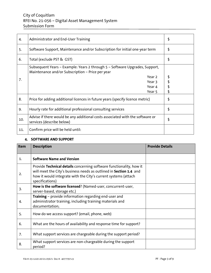# City of Coquitlam RFEI No. 21-056 – Digital Asset Management System Submission Form

| 4.  | Administrator and End-User Training                                                                                             | \$ |
|-----|---------------------------------------------------------------------------------------------------------------------------------|----|
| 5.  | Software Support, Maintenance and/or Subscription for initial one-year term                                                     | \$ |
| 6.  | Total (exclude PST & GST)                                                                                                       | \$ |
|     | Subsequent Years – Example: Years 2 through 5 – Software Upgrades, Support,<br>Maintenance and/or Subscription - Price per year |    |
| 7.  | Year 2                                                                                                                          | \$ |
|     | Year 3                                                                                                                          |    |
|     | Year 4                                                                                                                          |    |
|     | Year 5                                                                                                                          | \$ |
| 8.  | Price for adding additional licences in future years (specify licence metric)                                                   | \$ |
| 9.  | Hourly rate for additional professional consulting services                                                                     | \$ |
| 10. | Advise if there would be any additional costs associated with the software or<br>services (describe below)                      | \$ |
| 11. | Confirm price will be held until:                                                                                               |    |

# **4. SOFTWARE AND SUPPORT**

| Item         | <b>Description</b>                                                                                                                                                                                                             | <b>Provide Details</b> |
|--------------|--------------------------------------------------------------------------------------------------------------------------------------------------------------------------------------------------------------------------------|------------------------|
| $\mathbf{1}$ | <b>Software Name and Version</b>                                                                                                                                                                                               |                        |
| 2.           | Provide Technical details concerning software functionality, how it<br>will meet the City's business needs as outlined in Section 1.4 and<br>how it would integrate with the City's current systems (attach<br>specifications) |                        |
| 3.           | How is the software licensed? (Named-user, concurrent-user,<br>server-based, storage etc.)                                                                                                                                     |                        |
| 4.           | <b>Training</b> – provide information regarding end-user and<br>administrator training, including training materials and<br>documentation;                                                                                     |                        |
| 5.           | How do we access support? (email, phone, web)                                                                                                                                                                                  |                        |
| 6.           | What are the hours of availability and response time for support?                                                                                                                                                              |                        |
| 7.           | What support services are chargeable during the support period?                                                                                                                                                                |                        |
| 8.           | What support services are non-chargeable during the support<br>period?                                                                                                                                                         |                        |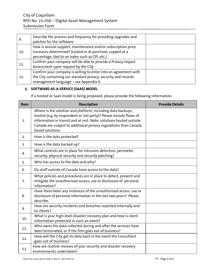| 9.  | Describe the process and frequency for providing upgrades and<br>patches for the software. |  |
|-----|--------------------------------------------------------------------------------------------|--|
|     | How is annual support, maintenance and/or subscription price                               |  |
| 10. | increases determined? (Locked in at purchase, capped at a                                  |  |
|     | percentage, tied to an index such as CPI, etc.)                                            |  |
| 11. | Confirm your company will be able to provide a Privacy Impact                              |  |
|     | Assessment upon request by the City                                                        |  |
|     | Confirm your company is willing to enter into an agreement with                            |  |
| 12. | the City containing our standard privacy, security and records                             |  |
|     | management language - see Appendix A                                                       |  |

# **5. SOFTWARE-AS-A-SERVICE (SAAS) MODEL**

If a hosted or SaaS model is being proposed, please provide the following information.

| Item           | <b>Description</b>                                                                                                                                                                                                                                                                             | <b>Provide Details</b> |
|----------------|------------------------------------------------------------------------------------------------------------------------------------------------------------------------------------------------------------------------------------------------------------------------------------------------|------------------------|
| $\mathbf{1}$ . | Where is the solution and platform, including data backups,<br>hosted (e.g. by respondent or 3rd party)? Please include flows of<br>information in transit and at rest. Note: solutions hosted outside<br>Canada are subject to additional privacy regulations than Canada<br>based solutions. |                        |
| 2.             | How is the data protected?                                                                                                                                                                                                                                                                     |                        |
| 3.             | How is the data backed up?                                                                                                                                                                                                                                                                     |                        |
| 4.             | What controls are in place for intrusion detection, perimeter<br>security, physical security and security patching?                                                                                                                                                                            |                        |
| 5.             | Who has access to the data and why?                                                                                                                                                                                                                                                            |                        |
| 6.             | Do staff outside of Canada have access to the data?                                                                                                                                                                                                                                            |                        |
| 7.             | What policies and procedures are in place to detect, prevent and<br>mitigate the unauthorized access, use or disclosure of personal<br>information?                                                                                                                                            |                        |
| 8.             | Have there been any instances of the unauthorized access, use or<br>disclosure of personal information in the last two years? Please<br>describe.                                                                                                                                              |                        |
| 9.             | How are security incidents and breaches reported internally and<br>to clients?                                                                                                                                                                                                                 |                        |
| 10.            | What is your high-level disaster recovery plan and how is client<br>information protected in such an event?                                                                                                                                                                                    |                        |
| 11.            | Who owns the data collected during and after the services have<br>been terminated, or if the firm goes out of business?                                                                                                                                                                        |                        |
| 12.            | How will the City get its data back in the event the Consultant<br>goes out of business?                                                                                                                                                                                                       |                        |
| 13.            | How are routine reviews of your security and disaster recovery<br>environments undertaken?                                                                                                                                                                                                     |                        |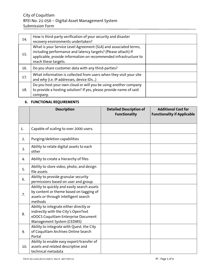| 14. | How is third-party verification of your security and disaster<br>recovery environments undertaken?                                                                                                                            |  |
|-----|-------------------------------------------------------------------------------------------------------------------------------------------------------------------------------------------------------------------------------|--|
| 15. | What is your Service Level Agreement (SLA) and associated terms,<br>including performance and latency targets? (Please attach) If<br>applicable, provide information on recommended infrastructure to<br>reach these targets. |  |
| 16. | Do you share customer data with any third-parties?                                                                                                                                                                            |  |
| 17. | What information is collected from users when they visit your site<br>and why (i.e. IP addresses, device IDs)                                                                                                                 |  |
| 18. | Do you host your own cloud or will you be using another company<br>to provide a hosting solution? If yes, please provide name of said<br>company.                                                                             |  |

# **6. FUNCTIONAL REQUIREMENTS**

|     | <b>Description</b>                                                                                                                                 | <b>Detailed Description of</b><br><b>Functionality</b> | <b>Additional Cost for</b><br><b>Functionality if Applicable</b> |
|-----|----------------------------------------------------------------------------------------------------------------------------------------------------|--------------------------------------------------------|------------------------------------------------------------------|
| 1.  | Capable of scaling to over 2000 users.                                                                                                             |                                                        |                                                                  |
| 2.  | Purging/deletion capabilities                                                                                                                      |                                                        |                                                                  |
| 3.  | Ability to relate digital assets to each<br>other                                                                                                  |                                                        |                                                                  |
| 4.  | Ability to create a hierarchy of files                                                                                                             |                                                        |                                                                  |
| 5.  | Ability to store video, photo, and design<br>file assets                                                                                           |                                                        |                                                                  |
| 6.  | Ability to provide granular security<br>permissions based on user and group.                                                                       |                                                        |                                                                  |
| 7.  | Ability to quickly and easily search assets<br>by content or theme based on tagging of<br>assets or through intelligent search<br>methods          |                                                        |                                                                  |
| 8.  | Ability to integrate either directly or<br>indirectly with the City's OpenText<br>eDOCS Coquitlam Enterprise Document<br>Management System (CEDMS) |                                                        |                                                                  |
| 9.  | Ability to integrate with Quest, the City<br>of Coquitlam Archives Online Search<br>Portal                                                         |                                                        |                                                                  |
| 10. | Ability to enable easy export/transfer of<br>assets and related descriptive and<br>technical metadata                                              |                                                        |                                                                  |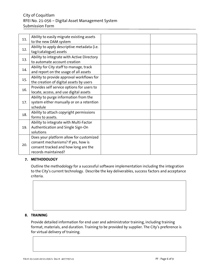# City of Coquitlam RFEI No. 21-056 – Digital Asset Management System Submission Form

| Ability to easily migrate existing assets   |                       |  |
|---------------------------------------------|-----------------------|--|
|                                             |                       |  |
| Ability to apply descriptive metadata (i.e. |                       |  |
| tag/catalogue) assets                       |                       |  |
| Ability to integrate with Active Directory  |                       |  |
| to automate account creation                |                       |  |
| Ability for City staff to manage, track     |                       |  |
| and report on the usage of all assets       |                       |  |
| Ability to provide approval workflows for   |                       |  |
| the creation of digital assets by users     |                       |  |
| Provides self service options for users to  |                       |  |
| locate, access, and use digital assets      |                       |  |
| Ability to purge information from the       |                       |  |
| system either manually or on a retention    |                       |  |
| schedule                                    |                       |  |
| Ability to attach copyright permissions     |                       |  |
| forms to assets.                            |                       |  |
| Ability to integrate with Multi-Factor      |                       |  |
| Authentication and Single Sign-On           |                       |  |
| solutions                                   |                       |  |
| Does your platform allow for customized     |                       |  |
| consent mechanisms? If yes, how is          |                       |  |
| consent tracked and how long are the        |                       |  |
| records maintained?                         |                       |  |
|                                             | to the new DAM system |  |

# **7. METHODOLOGY**

Outline the methodology for a successful software implementation including the integration to the City's current technology. Describe the key deliverables, success factors and acceptance criteria.

# **8. TRAINING**

Provide detailed information for end user and administrator training, including training format, materials, and duration. Training to be provided by supplier. The City's preference is for virtual delivery of training.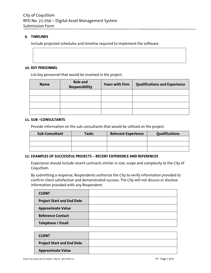### **9. TIMELINES**

Include projected schedules and timeline required to implement the software.

### **10. KEY PERSONNEL**

List key personnel that would be involved in the project.

| <b>Name</b> | <b>Role and</b><br><b>Responsibility</b> | <b>Years with Firm</b> | <b>Qualifications and Experience</b> |
|-------------|------------------------------------------|------------------------|--------------------------------------|
|             |                                          |                        |                                      |
|             |                                          |                        |                                      |
|             |                                          |                        |                                      |
|             |                                          |                        |                                      |

### **11. SUB –CONSULTANTS**

Provide information on the sub-consultants that would be utilized on the project.

| Sub-Consultant | <b>Tasks</b> | <b>Relevant Experience</b> | <b>Oualifications</b> |
|----------------|--------------|----------------------------|-----------------------|
|                |              |                            |                       |
|                |              |                            |                       |
|                |              |                            |                       |

### **12. EXAMPLES OF SUCCESSFUL PROJECTS – RECENT EXPERIENCE AND REFERENCES**

Experience should include recent contracts similar in size, scope and complexity to the City of Coquitlam.

By submitting a response, Respondents authorize the City to verify information provided to confirm client satisfaction and demonstrated success. The City will not discuss or disclose information provided with any Respondent.

| <b>CLIENT</b>                     |  |
|-----------------------------------|--|
| <b>Project Start and End Date</b> |  |
| <b>Approximate Value</b>          |  |
| <b>Reference Contact</b>          |  |
| <b>Telephone / Email</b>          |  |

| <b>CLIENT</b>                     |  |
|-----------------------------------|--|
| <b>Project Start and End Date</b> |  |
| <b>Approximate Value</b>          |  |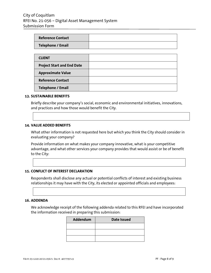| <b>Reference Contact</b>          |  |
|-----------------------------------|--|
| <b>Telephone / Email</b>          |  |
|                                   |  |
| <b>CLIENT</b>                     |  |
| <b>Project Start and End Date</b> |  |
| <b>Approximate Value</b>          |  |
| <b>Reference Contact</b>          |  |
| <b>Telephone / Email</b>          |  |

#### **13. SUSTAINABLE BENEFITS**

Briefly describe your company's social, economic and environmental initiatives, innovations, and practices and how those would benefit the City.

### **14. VALUE ADDED BENEFITS**

What other information is not requested here but which you think the City should consider in evaluating your company?

Provide information on what makes your company innovative, what is your competitive advantage, and what other services your company provides that would assist or be of benefit to the City:

#### **15. CONFLICT OF INTEREST DECLARATION**

Respondents shall disclose any actual or potential conflicts of interest and existing business relationships it may have with the City, its elected or appointed officials and employees:

#### **16. ADDENDA**

We acknowledge receipt of the following addenda related to this RFEI and have incorporated the information received in preparing this submission:

| Addendum | <b>Date Issued</b> |
|----------|--------------------|
|          |                    |
|          |                    |
|          |                    |